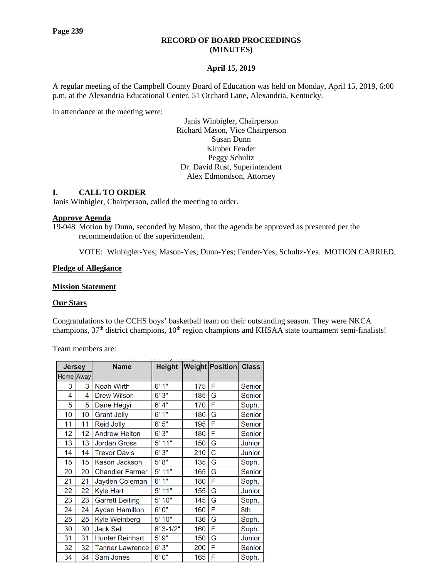### **RECORD OF BOARD PROCEEDINGS (MINUTES)**

### **April 15, 2019**

A regular meeting of the Campbell County Board of Education was held on Monday, April 15, 2019, 6:00 p.m. at the Alexandria Educational Center, 51 Orchard Lane, Alexandria, Kentucky.

In attendance at the meeting were:

Janis Winbigler, Chairperson Richard Mason, Vice Chairperson Susan Dunn Kimber Fender Peggy Schultz Dr. David Rust, Superintendent Alex Edmondson, Attorney

#### **I. CALL TO ORDER**

Janis Winbigler, Chairperson, called the meeting to order.

#### **Approve Agenda**

19-048 Motion by Dunn, seconded by Mason, that the agenda be approved as presented per the recommendation of the superintendent.

VOTE: Winbigler-Yes; Mason-Yes; Dunn-Yes; Fender-Yes; Schultz-Yes. MOTION CARRIED.

#### **Pledge of Allegiance**

#### **Mission Statement**

#### **Our Stars**

Congratulations to the CCHS boys' basketball team on their outstanding season. They were NKCA champions, 37<sup>th</sup> district champions, 10<sup>th</sup> region champions and KHSAA state tournament semi-finalists!

Team members are:

| <b>Jersey</b> |      | <b>Name</b>            | <b>Height</b> |     | Weight Position Class |        |
|---------------|------|------------------------|---------------|-----|-----------------------|--------|
| <b>Home</b>   | Away |                        |               |     |                       |        |
| 3             | 3    | Noah Wirth             | 1"<br>6'      | 175 | F                     | Senior |
| 4             | 4    | <b>Drew Wilson</b>     | 6'3"          | 185 | G                     | Senior |
| 5             | 5    | Dane Hegyi             | 6' 4"         | 170 | F                     | Soph.  |
| 10            | 10   | <b>Grant Jolly</b>     | 1"<br>6'      | 180 | Ġ                     | Senior |
| 11            | 11   | <b>Reid Jolly</b>      | 6'5''         | 195 | F                     | Senior |
| 12            | 12   | <b>Andrew Helton</b>   | 6'3''         | 180 | F                     | Senior |
| 13            | 13   | <b>Jordan Gross</b>    | 5' 11"        | 150 | G                     | Junior |
| 14            | 14   | <b>Trevor Davis</b>    | 6'3''         | 210 | C                     | Junior |
| 15            | 15   | Kason Jackson          | 5' 8''        | 135 | G                     | Soph.  |
| 20            | 20   | <b>Chandler Farmer</b> | 5' 11"        | 165 | G                     | Senior |
| 21            | 21   | Jayden Coleman         | 6'1"          | 180 | F                     | Soph.  |
| 22            | 22   | <b>Kyle Hart</b>       | $5'$ 11"      | 155 | G                     | Junior |
| 23            | 23   | <b>Garrett Beiting</b> | 5' 10"        | 145 | G                     | Soph.  |
| 24            | 24   | <b>Aydan Hamilton</b>  | 6'0''         | 160 | F                     | 8th    |
| 25            | 25   | <b>Kyle Weinberg</b>   | 5' 10"        | 136 | G                     | Soph.  |
| 30            | 30   | <b>Jack Sell</b>       | $6' 3 - 1/2"$ | 160 | F                     | Soph.  |
| 31            | 31   | <b>Hunter Reinhart</b> | 5'9''         | 150 | G                     | Junior |
| 32            | 32   | <b>Tanner Lawrence</b> | 6'3''         | 200 | F                     | Senior |
| 34            | 34   | <b>Sam Jones</b>       | 6'0''         | 165 | F                     | Soph.  |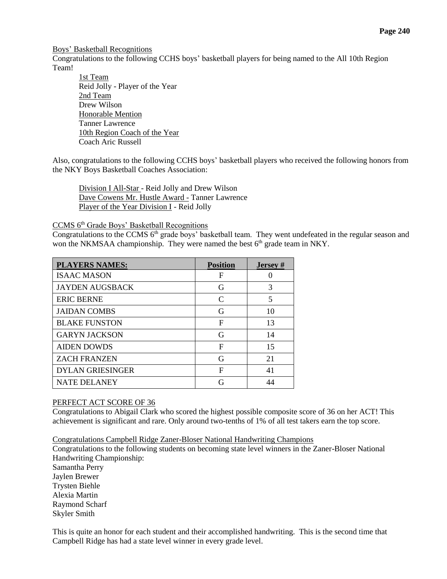Boys' [Basketball Recognitions](http://www.campbellcountyschools.org/News/55117)

Congratulations to the following CCHS boys' basketball players for being named to the All 10th Region Team!

1st Team Reid Jolly - Player of the Year 2nd Team Drew Wilson Honorable Mention Tanner Lawrence 10th Region Coach of the Year Coach Aric Russell

Also, congratulations to the following CCHS boys' basketball players who received the following honors from the NKY Boys Basketball Coaches Association:

Division I All-Star - Reid Jolly and Drew Wilson Dave Cowens Mr. Hustle Award - Tanner Lawrence Player of the Year Division I - Reid Jolly

CCMS 6th Grade Boys' Basketball Recognitions

Congratulations to the CCMS  $6<sup>th</sup>$  grade boys' basketball team. They went undefeated in the regular season and won the NKMSAA championship. They were named the best 6<sup>th</sup> grade team in NKY.

| <b>PLAYERS NAMES:</b>   | <b>Position</b>             | <b>Jersey</b> # |
|-------------------------|-----------------------------|-----------------|
| <b>ISAAC MASON</b>      | F                           |                 |
| <b>JAYDEN AUGSBACK</b>  | G                           | 3               |
| <b>ERIC BERNE</b>       | $\mathcal{C}_{\mathcal{C}}$ | 5               |
| <b>JAIDAN COMBS</b>     | G                           | 10              |
| <b>BLAKE FUNSTON</b>    | F                           | 13              |
| <b>GARYN JACKSON</b>    | G                           | 14              |
| <b>AIDEN DOWDS</b>      | F                           | 15              |
| <b>ZACH FRANZEN</b>     | G                           | 21              |
| <b>DYLAN GRIESINGER</b> | F                           | 41              |
| <b>NATE DELANEY</b>     |                             | 44              |

### PERFECT ACT SCORE OF 36

Congratulations to Abigail Clark who scored the highest possible composite score of 36 on her ACT! This achievement is significant and rare. Only around two-tenths of 1% of all test takers earn the top score.

Congratulations Campbell Ridge Zaner-Bloser National Handwriting Champions

Congratulations to the following students on becoming state level winners in the Zaner-Bloser National Handwriting Championship: Samantha Perry Jaylen Brewer Trysten Biehle Alexia Martin Raymond Scharf Skyler Smith

This is quite an honor for each student and their accomplished handwriting. This is the second time that Campbell Ridge has had a state level winner in every grade level.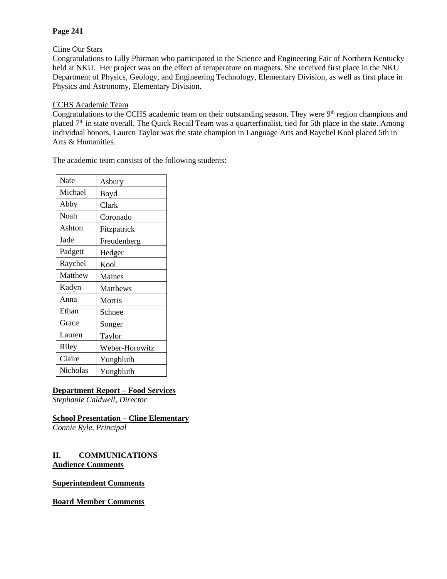## **Page 241**

### Cline Our Stars

Congratulations to Lilly Phirman who participated in the Science and Engineering Fair of Northern Kentucky held at NKU. Her project was on the effect of temperature on magnets. She received first place in the NKU Department of Physics, Geology, and Engineering Technology, Elementary Division, as well as first place in Physics and Astronomy, Elementary Division.

### CCHS Academic Team

Congratulations to the CCHS academic team on their outstanding season. They were  $9<sup>th</sup>$  region champions and placed 7<sup>th</sup> in state overall. The Quick Recall Team was a quarterfinalist, tied for 5th place in the state. Among individual honors, Lauren Taylor was the state champion in Language Arts and Raychel Kool placed 5th in Arts & Humanities.

The academic team consists of the following students:

| Nate     | Asbury         |
|----------|----------------|
| Michael  | Boyd           |
| Abby     | Clark          |
| Noah     | Coronado       |
| Ashton   | Fitzpatrick    |
| Jade     | Freudenberg    |
| Padgett  | Hedger         |
| Raychel  | Kool           |
| Matthew  | Maines         |
| Kadyn    | Matthews       |
| Anna     | Morris         |
| Ethan    | Schnee         |
| Grace    | Songer         |
| Lauren   | Taylor         |
| Riley    | Weber-Horowitz |
| Claire   | Yungbluth      |
| Nicholas | Yungbluth      |

# **Department Report – Food Services**

*Stephanie Caldwell, Director*

## **School Presentation – Cline Elementary**

*Connie Ryle, Principal*

## **II. COMMUNICATIONS Audience Comments**

### **Superintendent Comments**

## **Board Member Comments**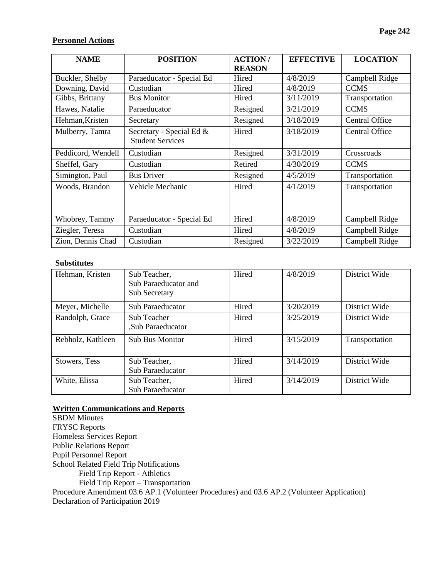# **Personnel Actions**

| <b>NAME</b>        | <b>POSITION</b>                                     | <b>ACTION/</b><br><b>REASON</b> | <b>EFFECTIVE</b> | <b>LOCATION</b>       |
|--------------------|-----------------------------------------------------|---------------------------------|------------------|-----------------------|
| Buckler, Shelby    | Paraeducator - Special Ed                           | Hired                           | 4/8/2019         | Campbell Ridge        |
| Downing, David     | Custodian                                           | Hired                           | 4/8/2019         | <b>CCMS</b>           |
| Gibbs, Brittany    | <b>Bus Monitor</b>                                  | Hired                           | 3/11/2019        | Transportation        |
| Hawes, Natalie     | Paraeducator                                        | Resigned                        | 3/21/2019        | <b>CCMS</b>           |
| Hehman, Kristen    | Secretary                                           | Resigned                        | 3/18/2019        | <b>Central Office</b> |
| Mulberry, Tamra    | Secretary - Special Ed &<br><b>Student Services</b> | Hired                           | 3/18/2019        | <b>Central Office</b> |
| Peddicord, Wendell | Custodian                                           | Resigned                        | 3/31/2019        | Crossroads            |
| Sheffel, Gary      | Custodian                                           | Retired                         | 4/30/2019        | <b>CCMS</b>           |
| Simington, Paul    | <b>Bus Driver</b>                                   | Resigned                        | 4/5/2019         | Transportation        |
| Woods, Brandon     | Vehicle Mechanic                                    | Hired                           | 4/1/2019         | Transportation        |
| Whobrey, Tammy     | Paraeducator - Special Ed                           | Hired                           | 4/8/2019         | Campbell Ridge        |
| Ziegler, Teresa    | Custodian                                           | Hired                           | 4/8/2019         | Campbell Ridge        |
| Zion, Dennis Chad  | Custodian                                           | Resigned                        | 3/22/2019        | Campbell Ridge        |

#### **Substitutes**

| Hehman, Kristen   | Sub Teacher,<br>Sub Paraeducator and<br><b>Sub Secretary</b> | Hired | 4/8/2019  | District Wide  |
|-------------------|--------------------------------------------------------------|-------|-----------|----------------|
| Meyer, Michelle   | <b>Sub Paraeducator</b>                                      | Hired | 3/20/2019 | District Wide  |
| Randolph, Grace   | Sub Teacher<br>"Sub Paraeducator                             | Hired | 3/25/2019 | District Wide  |
| Rebholz, Kathleen | <b>Sub Bus Monitor</b>                                       | Hired | 3/15/2019 | Transportation |
| Stowers, Tess     | Sub Teacher,<br><b>Sub Paraeducator</b>                      | Hired | 3/14/2019 | District Wide  |
| White, Elissa     | Sub Teacher,<br><b>Sub Paraeducator</b>                      | Hired | 3/14/2019 | District Wide  |

### **Written Communications and Reports**

SBDM Minutes FRYSC Reports Homeless Services Report Public Relations Report Pupil Personnel Report School Related Field Trip Notifications Field Trip Report - Athletics Field Trip Report – Transportation Procedure Amendment 03.6 AP.1 (Volunteer Procedures) and 03.6 AP.2 (Volunteer Application) Declaration of Participation 2019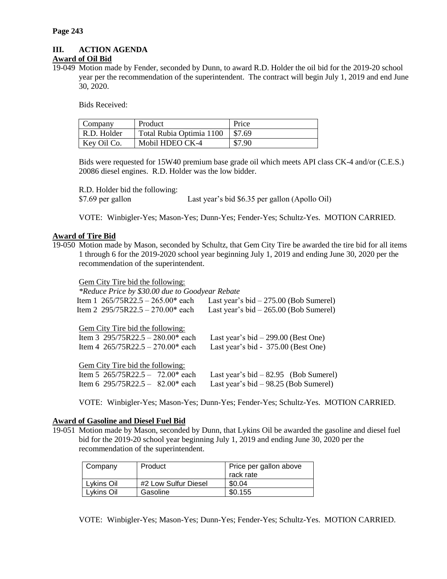# **III. ACTION AGENDA**

### **Award of Oil Bid**

19-049 Motion made by Fender, seconded by Dunn, to award R.D. Holder the oil bid for the 2019-20 school year per the recommendation of the superintendent. The contract will begin July 1, 2019 and end June 30, 2020.

Bids Received:

| Company     | Product                  | Price  |
|-------------|--------------------------|--------|
| R.D. Holder | Total Rubia Optimia 1100 | \$7.69 |
| Key Oil Co. | Mobil HDEO CK-4          | \$7.90 |

Bids were requested for 15W40 premium base grade oil which meets API class CK-4 and/or (C.E.S.) 20086 diesel engines. R.D. Holder was the low bidder.

R.D. Holder bid the following:

\$7.69 per gallon Last year's bid \$6.35 per gallon (Apollo Oil)

VOTE: Winbigler-Yes; Mason-Yes; Dunn-Yes; Fender-Yes; Schultz-Yes. MOTION CARRIED.

### **Award of Tire Bid**

19-050 Motion made by Mason, seconded by Schultz, that Gem City Tire be awarded the tire bid for all items 1 through 6 for the 2019-2020 school year beginning July 1, 2019 and ending June 30, 2020 per the recommendation of the superintendent.

Gem City Tire bid the following:

| *Reduce Price by \$30.00 due to Goodyear Rebate                             |
|-----------------------------------------------------------------------------|
| Last year's bid $-275.00$ (Bob Sumerel)                                     |
| Last year's bid $-265.00$ (Bob Sumerel)                                     |
| Last year's bid $-299.00$ (Best One)<br>Last year's bid - 375.00 (Best One) |
|                                                                             |
| Last year's bid $-82.95$ (Bob Sumerel)                                      |
| Last year's bid $-98.25$ (Bob Sumerel)                                      |
|                                                                             |

VOTE: Winbigler-Yes; Mason-Yes; Dunn-Yes; Fender-Yes; Schultz-Yes. MOTION CARRIED.

#### **Award of Gasoline and Diesel Fuel Bid**

19-051 Motion made by Mason, seconded by Dunn, that Lykins Oil be awarded the gasoline and diesel fuel bid for the 2019-20 school year beginning July 1, 2019 and ending June 30, 2020 per the recommendation of the superintendent.

| Company    | Product              | Price per gallon above |  |
|------------|----------------------|------------------------|--|
|            |                      | rack rate              |  |
| Lykins Oil | #2 Low Sulfur Diesel | \$0.04                 |  |
| Lykins Oil | Gasoline             | \$0.155                |  |

VOTE: Winbigler-Yes; Mason-Yes; Dunn-Yes; Fender-Yes; Schultz-Yes. MOTION CARRIED.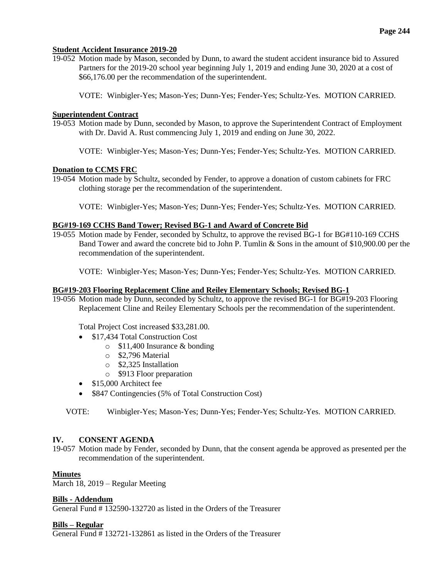### **Student Accident Insurance 2019-20**

19-052 Motion made by Mason, seconded by Dunn, to award the student accident insurance bid to Assured Partners for the 2019-20 school year beginning July 1, 2019 and ending June 30, 2020 at a cost of \$66,176.00 per the recommendation of the superintendent.

VOTE: Winbigler-Yes; Mason-Yes; Dunn-Yes; Fender-Yes; Schultz-Yes. MOTION CARRIED.

### **Superintendent Contract**

- 19-053 Motion made by Dunn, seconded by Mason, to approve the Superintendent Contract of Employment with Dr. David A. Rust commencing July 1, 2019 and ending on June 30, 2022.
	- VOTE: Winbigler-Yes; Mason-Yes; Dunn-Yes; Fender-Yes; Schultz-Yes. MOTION CARRIED.

### **Donation to CCMS FRC**

19-054 Motion made by Schultz, seconded by Fender, to approve a donation of custom cabinets for FRC clothing storage per the recommendation of the superintendent.

VOTE: Winbigler-Yes; Mason-Yes; Dunn-Yes; Fender-Yes; Schultz-Yes. MOTION CARRIED.

### **BG#19-169 CCHS Band Tower; Revised BG-1 and Award of Concrete Bid**

19-055 Motion made by Fender, seconded by Schultz, to approve the revised BG-1 for BG#110-169 CCHS Band Tower and award the concrete bid to John P. Tumlin & Sons in the amount of \$10,900.00 per the recommendation of the superintendent.

VOTE: Winbigler-Yes; Mason-Yes; Dunn-Yes; Fender-Yes; Schultz-Yes. MOTION CARRIED.

### **BG#19-203 Flooring Replacement Cline and Reiley Elementary Schools; Revised BG-1**

19-056 Motion made by Dunn, seconded by Schultz, to approve the revised BG-1 for BG#19-203 Flooring Replacement Cline and Reiley Elementary Schools per the recommendation of the superintendent.

Total Project Cost increased \$33,281.00.

- \$17,434 Total Construction Cost
	- o \$11,400 Insurance & bonding
		- o \$2,796 Material
		- o \$2,325 Installation
		- o \$913 Floor preparation
- \$15,000 Architect fee
- \$847 Contingencies (5% of Total Construction Cost)

VOTE: Winbigler-Yes; Mason-Yes; Dunn-Yes; Fender-Yes; Schultz-Yes. MOTION CARRIED.

### **IV. CONSENT AGENDA**

19-057 Motion made by Fender, seconded by Dunn, that the consent agenda be approved as presented per the recommendation of the superintendent.

### **Minutes**

March 18, 2019 – Regular Meeting

#### **Bills - Addendum**

General Fund # 132590-132720 as listed in the Orders of the Treasurer

#### **Bills – Regular**

General Fund # 132721-132861 as listed in the Orders of the Treasurer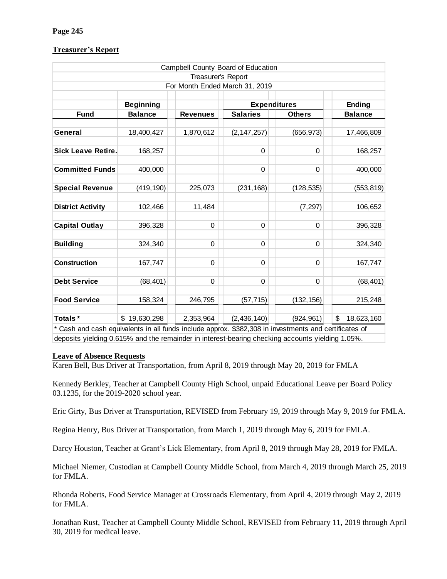# **Treasurer's Report**

| Campbell County Board of Education                                                                    |                  |                 |                     |               |                  |  |
|-------------------------------------------------------------------------------------------------------|------------------|-----------------|---------------------|---------------|------------------|--|
| Treasurer's Report                                                                                    |                  |                 |                     |               |                  |  |
| For Month Ended March 31, 2019                                                                        |                  |                 |                     |               |                  |  |
|                                                                                                       |                  |                 |                     |               |                  |  |
|                                                                                                       | <b>Beginning</b> |                 | <b>Expenditures</b> |               | Ending           |  |
| <b>Fund</b>                                                                                           | <b>Balance</b>   | <b>Revenues</b> | <b>Salaries</b>     | <b>Others</b> | <b>Balance</b>   |  |
|                                                                                                       |                  |                 |                     |               |                  |  |
| General                                                                                               | 18,400,427       | 1,870,612       | (2, 147, 257)       | (656, 973)    | 17,466,809       |  |
|                                                                                                       |                  |                 |                     |               |                  |  |
| <b>Sick Leave Retire.</b>                                                                             | 168,257          |                 | 0                   | 0             | 168,257          |  |
|                                                                                                       |                  |                 |                     |               |                  |  |
| <b>Committed Funds</b>                                                                                | 400,000          |                 | 0                   | 0             | 400,000          |  |
|                                                                                                       |                  |                 |                     |               |                  |  |
| <b>Special Revenue</b>                                                                                | (419, 190)       | 225,073         | (231, 168)          | (128, 535)    | (553, 819)       |  |
|                                                                                                       |                  |                 |                     |               |                  |  |
| <b>District Activity</b>                                                                              | 102,466          | 11,484          |                     | (7, 297)      | 106,652          |  |
|                                                                                                       |                  | $\Omega$        | 0                   | $\Omega$      |                  |  |
| <b>Capital Outlay</b>                                                                                 | 396,328          |                 |                     |               | 396,328          |  |
| <b>Building</b>                                                                                       | 324,340          | 0               | 0                   | $\Omega$      | 324,340          |  |
|                                                                                                       |                  |                 |                     |               |                  |  |
| <b>Construction</b>                                                                                   | 167,747          | 0               | 0                   | 0             | 167,747          |  |
|                                                                                                       |                  |                 |                     |               |                  |  |
| <b>Debt Service</b>                                                                                   | (68, 401)        | $\Omega$        | $\Omega$            | $\Omega$      | (68, 401)        |  |
|                                                                                                       |                  |                 |                     |               |                  |  |
| <b>Food Service</b>                                                                                   | 158,324          | 246,795         | (57, 715)           | (132, 156)    | 215,248          |  |
| Totals*                                                                                               | \$19,630,298     | 2,353,964       | (2, 436, 140)       | (924, 961)    | \$<br>18,623,160 |  |
| * Cash and cash equivalents in all funds include approx. \$382,308 in investments and certificates of |                  |                 |                     |               |                  |  |

deposits yielding 0.615% and the remainder in interest-bearing checking accounts yielding 1.05%.

### **Leave of Absence Requests**

Karen Bell, Bus Driver at Transportation, from April 8, 2019 through May 20, 2019 for FMLA

Kennedy Berkley, Teacher at Campbell County High School, unpaid Educational Leave per Board Policy 03.1235, for the 2019-2020 school year.

Eric Girty, Bus Driver at Transportation, REVISED from February 19, 2019 through May 9, 2019 for FMLA.

Regina Henry, Bus Driver at Transportation, from March 1, 2019 through May 6, 2019 for FMLA.

Darcy Houston, Teacher at Grant's Lick Elementary, from April 8, 2019 through May 28, 2019 for FMLA.

Michael Niemer, Custodian at Campbell County Middle School, from March 4, 2019 through March 25, 2019 for FMLA.

Rhonda Roberts, Food Service Manager at Crossroads Elementary, from April 4, 2019 through May 2, 2019 for FMLA.

Jonathan Rust, Teacher at Campbell County Middle School, REVISED from February 11, 2019 through April 30, 2019 for medical leave.